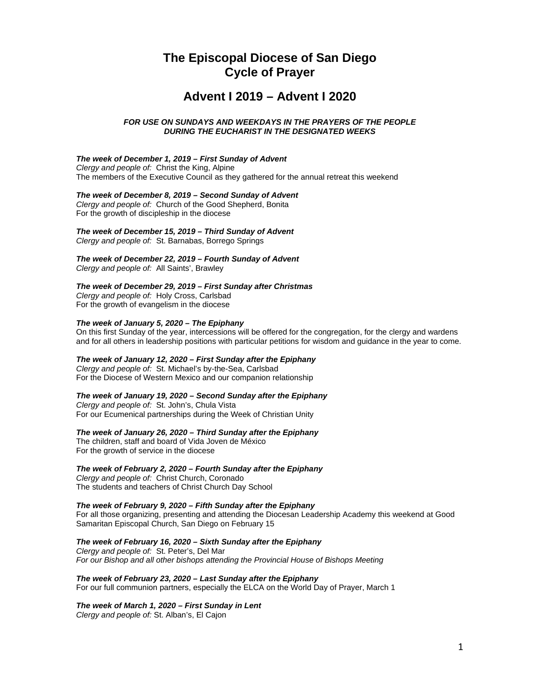# **The Episcopal Diocese of San Diego Cycle of Prayer**

# **Advent I 2019 – Advent I 2020**

## *FOR USE ON SUNDAYS AND WEEKDAYS IN THE PRAYERS OF THE PEOPLE DURING THE EUCHARIST IN THE DESIGNATED WEEKS*

### *The week of December 1, 2019 – First Sunday of Advent*

*Clergy and people of:* Christ the King, Alpine The members of the Executive Council as they gathered for the annual retreat this weekend

## *The week of December 8, 2019 – Second Sunday of Advent*

*Clergy and people of:* Church of the Good Shepherd, Bonita For the growth of discipleship in the diocese

## *The week of December 15, 2019 – Third Sunday of Advent*

*Clergy and people of:* St. Barnabas, Borrego Springs

## *The week of December 22, 2019 – Fourth Sunday of Advent*

*Clergy and people of:* All Saints', Brawley

## *The week of December 29, 2019 – First Sunday after Christmas*

*Clergy and people of:* Holy Cross, Carlsbad For the growth of evangelism in the diocese

#### *The week of January 5, 2020 – The Epiphany*

On this first Sunday of the year, intercessions will be offered for the congregation, for the clergy and wardens and for all others in leadership positions with particular petitions for wisdom and guidance in the year to come.

## *The week of January 12, 2020 – First Sunday after the Epiphany*

*Clergy and people of:* St. Michael's by-the-Sea, Carlsbad For the Diocese of Western Mexico and our companion relationship

## *The week of January 19, 2020 – Second Sunday after the Epiphany*

*Clergy and people of:* St. John's, Chula Vista For our Ecumenical partnerships during the Week of Christian Unity

#### *The week of January 26, 2020 – Third Sunday after the Epiphany*

The children, staff and board of Vida Joven de México For the growth of service in the diocese

## *The week of February 2, 2020 – Fourth Sunday after the Epiphany*

*Clergy and people of:* Christ Church, Coronado The students and teachers of Christ Church Day School

## *The week of February 9, 2020 – Fifth Sunday after the Epiphany*

For all those organizing, presenting and attending the Diocesan Leadership Academy this weekend at Good Samaritan Episcopal Church, San Diego on February 15

## *The week of February 16, 2020 – Sixth Sunday after the Epiphany*

*Clergy and people of:* St. Peter's, Del Mar *For our Bishop and all other bishops attending the Provincial House of Bishops Meeting*

#### *The week of February 23, 2020 – Last Sunday after the Epiphany* For our full communion partners, especially the ELCA on the World Day of Prayer, March 1

## *The week of March 1, 2020 – First Sunday in Lent*

*Clergy and people of:* St. Alban's, El Cajon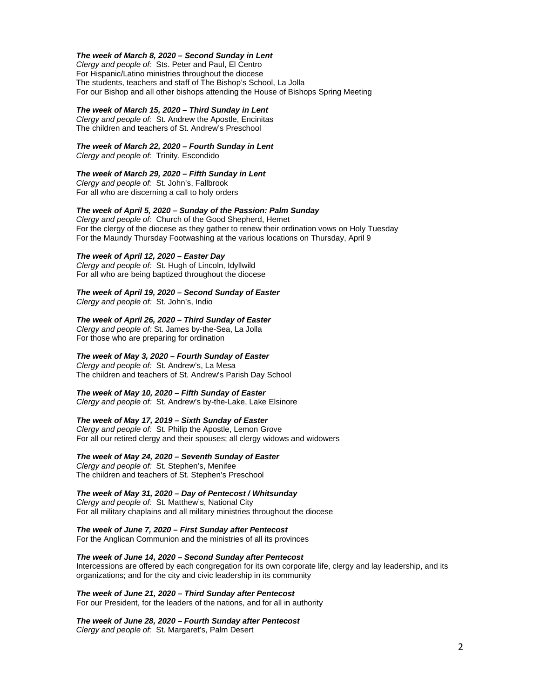#### *The week of March 8, 2020 – Second Sunday in Lent*

*Clergy and people of:* Sts. Peter and Paul, El Centro For Hispanic/Latino ministries throughout the diocese The students, teachers and staff of The Bishop's School, La Jolla For our Bishop and all other bishops attending the House of Bishops Spring Meeting

#### *The week of March 15, 2020 – Third Sunday in Lent*

*Clergy and people of:* St. Andrew the Apostle, Encinitas The children and teachers of St. Andrew's Preschool

## *The week of March 22, 2020 – Fourth Sunday in Lent*

*Clergy and people of:* Trinity, Escondido

#### *The week of March 29, 2020 – Fifth Sunday in Lent*

*Clergy and people of:* St. John's, Fallbrook For all who are discerning a call to holy orders

## *The week of April 5, 2020 – Sunday of the Passion: Palm Sunday*

*Clergy and people of:* Church of the Good Shepherd, Hemet For the clergy of the diocese as they gather to renew their ordination vows on Holy Tuesday For the Maundy Thursday Footwashing at the various locations on Thursday, April 9

#### *The week of April 12, 2020 – Easter Day*

*Clergy and people of:* St. Hugh of Lincoln, Idyllwild For all who are being baptized throughout the diocese

### *The week of April 19, 2020 – Second Sunday of Easter*

*Clergy and people of:* St. John's, Indio

## *The week of April 26, 2020 – Third Sunday of Easter*

*Clergy and people of:* St. James by-the-Sea, La Jolla For those who are preparing for ordination

#### *The week of May 3, 2020 – Fourth Sunday of Easter*

*Clergy and people of:* St. Andrew's, La Mesa The children and teachers of St. Andrew's Parish Day School

#### *The week of May 10, 2020 – Fifth Sunday of Easter*

*Clergy and people of:* St. Andrew's by-the-Lake, Lake Elsinore

#### *The week of May 17, 2019 – Sixth Sunday of Easter*

*Clergy and people of:* St. Philip the Apostle, Lemon Grove For all our retired clergy and their spouses; all clergy widows and widowers

### *The week of May 24, 2020 – Seventh Sunday of Easter*

*Clergy and people of:* St. Stephen's, Menifee The children and teachers of St. Stephen's Preschool

## *The week of May 31, 2020 – Day of Pentecost / Whitsunday*

*Clergy and people of:* St. Matthew's, National City For all military chaplains and all military ministries throughout the diocese

#### *The week of June 7, 2020 – First Sunday after Pentecost*

For the Anglican Communion and the ministries of all its provinces

#### *The week of June 14, 2020 – Second Sunday after Pentecost*

Intercessions are offered by each congregation for its own corporate life, clergy and lay leadership, and its organizations; and for the city and civic leadership in its community

## *The week of June 21, 2020 – Third Sunday after Pentecost*

For our President, for the leaders of the nations, and for all in authority

## *The week of June 28, 2020 – Fourth Sunday after Pentecost*

*Clergy and people of:* St. Margaret's, Palm Desert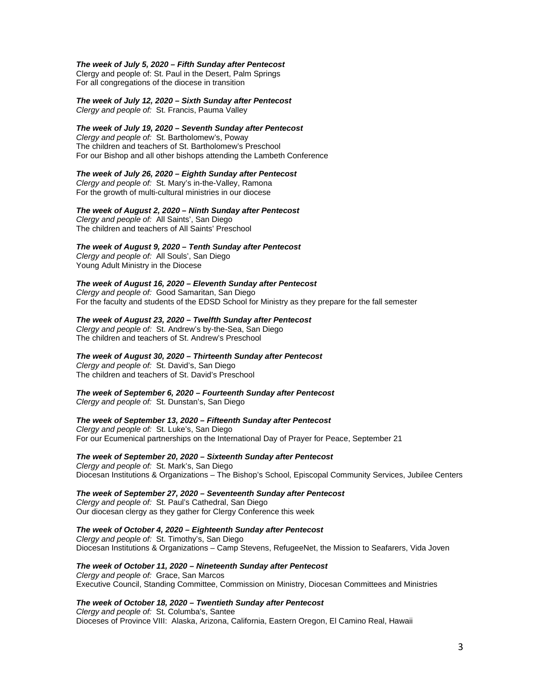#### *The week of July 5, 2020 – Fifth Sunday after Pentecost*

Clergy and people of: St. Paul in the Desert, Palm Springs For all congregations of the diocese in transition

## *The week of July 12, 2020 – Sixth Sunday after Pentecost*

*Clergy and people of:* St. Francis, Pauma Valley

## *The week of July 19, 2020 – Seventh Sunday after Pentecost*

*Clergy and people of:* St. Bartholomew's, Poway The children and teachers of St. Bartholomew's Preschool For our Bishop and all other bishops attending the Lambeth Conference

#### *The week of July 26, 2020 – Eighth Sunday after Pentecost*

*Clergy and people of:* St. Mary's in-the-Valley, Ramona For the growth of multi-cultural ministries in our diocese

#### *The week of August 2, 2020 – Ninth Sunday after Pentecost*

*Clergy and people of:* All Saints', San Diego The children and teachers of All Saints' Preschool

### *The week of August 9, 2020 – Tenth Sunday after Pentecost*

*Clergy and people of:* All Souls', San Diego Young Adult Ministry in the Diocese

#### *The week of August 16, 2020 – Eleventh Sunday after Pentecost*

*Clergy and people of:* Good Samaritan, San Diego For the faculty and students of the EDSD School for Ministry as they prepare for the fall semester

#### *The week of August 23, 2020 – Twelfth Sunday after Pentecost*

*Clergy and people of:* St. Andrew's by-the-Sea, San Diego The children and teachers of St. Andrew's Preschool

#### *The week of August 30, 2020 – Thirteenth Sunday after Pentecost*

*Clergy and people of:* St. David's, San Diego The children and teachers of St. David's Preschool

## *The week of September 6, 2020 – Fourteenth Sunday after Pentecost*

*Clergy and people of:* St. Dunstan's, San Diego

## *The week of September 13, 2020 – Fifteenth Sunday after Pentecost*

*Clergy and people of:* St. Luke's, San Diego For our Ecumenical partnerships on the International Day of Prayer for Peace, September 21

#### *The week of September 20, 2020 – Sixteenth Sunday after Pentecost Clergy and people of:* St. Mark's, San Diego

Diocesan Institutions & Organizations – The Bishop's School, Episcopal Community Services, Jubilee Centers

## *The week of September 27, 2020 – Seventeenth Sunday after Pentecost*

*Clergy and people of:* St. Paul's Cathedral, San Diego Our diocesan clergy as they gather for Clergy Conference this week

### *The week of October 4, 2020 – Eighteenth Sunday after Pentecost*

*Clergy and people of:* St. Timothy's, San Diego Diocesan Institutions & Organizations – Camp Stevens, RefugeeNet, the Mission to Seafarers, Vida Joven

## *The week of October 11, 2020 – Nineteenth Sunday after Pentecost*

*Clergy and people of:* Grace, San Marcos Executive Council, Standing Committee, Commission on Ministry, Diocesan Committees and Ministries

## *The week of October 18, 2020 – Twentieth Sunday after Pentecost*

*Clergy and people of:* St. Columba's, Santee Dioceses of Province VIII: Alaska, Arizona, California, Eastern Oregon, El Camino Real, Hawaii